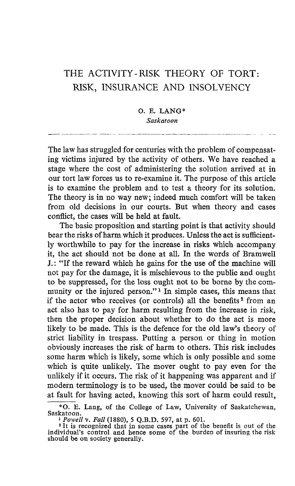## THE ACTIVITY-RISK THEORY OF TORT: RISK, INSURANCE AND INSOLVENCY

## O. E. LANG\* Saskatoon

The law has struggled for centuries with the problem of compensating victims injured by the activity of others. We have reached a stage where the cost of administering the solution arrived at in our tort law forces us to re-examine it . The purpose of this article is to examine the problem and to test a theory for its solution. The theory is in no way new; indeed much comfort will be taken from old decisions in our courts. But when theory and cases conflict, the cases will be held at fault.

The basic proposition and starting point is that activity should bear the risks of harm which it produces. Unless the act is sufficiently worthwhile to pay for the increase in risks which accompany it, the act should not be done at all. In the words of Bramwell J. : "If the reward which he gains for the use of the machine will not pay for the damage, it is mischievous to the public and ought to be suppressed, for the loss ought not to be borne by the community or the injured person."<sup>1</sup> In simple cases, this means that if the actor who receives (or controls) all the benefits<sup>2</sup> from an act also has to pay for harm resulting from the increase in risk, then the proper decision about whether to do the act is more likely to be made. This is the defence for the old law's theory of strict liability in trespass. Putting a person or thing in motion obviously increases the risk of harm to others . This risk includes some harm which is likely, some which is only possible and some which is quite unlikely. The mover ought to pay even for the unlikely if it occurs. The risk of it happening was apparent and if modern terminology is to be used, the mover could be said to be at fault for having acted, knowing this sort of harm could result,

<sup>\*</sup>O. E. Lang, of the College of Law, University of Saskatchewan,

Saskatoon.<br>
<sup>1</sup> Powell v. Fall (1880), 5 Q.B.D. 597, at p. 601.<br>
<sup>2</sup> It is recognized that in some cases part of the benefit is out of the <sup>1</sup> individual's control and hence some of the burden of insuring the risk should be on society generally.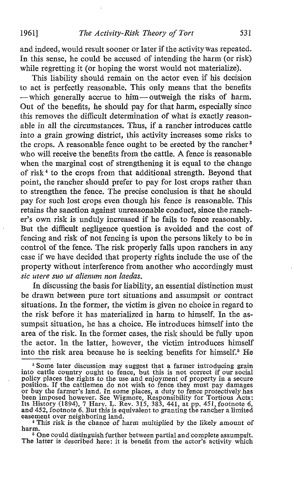1961] The Activity-Risk Theory of Tort 531

and indeed, would result sooner or later if the activity was repeated. In this sense, he could be accused of intending the harm (or risk) while regretting it (or hoping the worst would not materialize).

This liability should remain on the actor even if his decision to act is perfectly reasonable. This only means that the benefits -which generally accrue to him-outweigh the risks of harm. Out of the benefits, he should pay for that harm, especially since this removes the difficult determination of what is exactly reasonable in all the circumstances. Thus, if a rancher introduces cattle into a grain growing district, this activity increases some risks to the crops. A reasonable fence ought to be erected by the rancher<sup>3</sup> who will receive the benefits from the cattle. A fence is reasonable when the marginal cost of strengthening it is equal to the change of risk <sup>4</sup> to the crops from that additional strength. Beyond that point, the rancher should prefer to pay for lost crops rather than to strengthen the fence. The precise conclusion is that he should pay for such lost crops even though his fence is reasonable. This retains the sanction against unreasonable conduct, since the rancher's own risk is unduly increased if he fails to fence reasonably. But the difficult negligence question is avoided and the cost of fencing and risk of not fencing is upon the persons likely to be in control of the fence. The risk properly falls upon ranchers in any case if we have decided that property rights include the use of the property without interference from another who accordingly must sic utere suo ut alienum non laedas.

In discussing the basis for liability, an essential distinction must be drawn between pure tort situations and assumpsit or contract situations. In the former, the victim is given no choice in regard to the risk before it has materialized in harm to himself. In the assumpsit situation, he has a choice. He introduces himself into the area of the risk. In the former cases, the risk should be fully upon the actor. In the latter, however, the victim introduces himself into the risk area because he is seeking benefits for himself.' He

<sup>&</sup>lt;sup>3</sup> Some later discussion may suggest that a farmer introducing grain<br>into cattle country ought to fence, but this is not correct if our social<br>policy places the rights to the use and enjoyment of property in a secure<br>pos easement over neighboring land.

<sup>&</sup>lt;sup>4</sup> This risk is the chance of harm multiplied by the likely amount of harm.

<sup>s</sup> One could distinguish further between partial and complete assumpsit. The latter is described here: it is benefit from the actor's activity which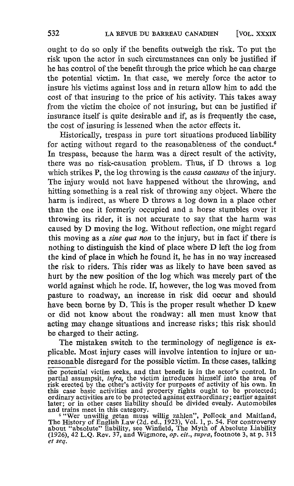ought to do so only if the benefits outweigh the risk . To put the risk upon the actor in such circumstances can only be justified if he has control of the benefit through the price which he can charge the potential victim. In that case, we merely force the actor to insure his victims against loss and in return allow him to add the cost of that insuring to the price of his activity. This takes away from the victim the choice of not insuring, but can be justified if insurance itself is quite desirable and if, as is frequently the case, the cost of insuring is lessened when the actor effects it.

Historically, trespass in pure tort situations produced liability for acting without regard to the reasonableness of the conduct.<sup>6</sup> In trespass, because the harm was a direct result of the activity, there was no risk-causation problem. Thus, if D throws <sup>a</sup> log which strikes P, the log throwing is the *causa causans* of the injury. The injury would not have happened without the throwing, and hitting something is a real risk of throwing any object. Where the harm is indirect, as where D throws <sup>a</sup> log down in <sup>a</sup> place other than the one it formerly occupied and a horse stumbles over it throwing its rider, it is not accurate to say that the harm was caused by D moving the log. Without reflection, one might regard this moving as a *sine qua non* to the injury, but in fact if there is nothing to distinguish the kind of place where Dleft the log from the kind of place in which he found it, he has in no way increased the risk to riders. This rider was as likely to have been saved as hurt by the new position of the log which was merely part of the world against which he rode. If, however, the log was moved from pasture to roadway, an increase in risk did occur and should have been borne by D. This is the proper result whether D knew or did not know about the roadway: all men must know that acting may change situations and increase risks; this risk should be charged to their acting.

The mistaken switch to the terminology of negligence is explicable. Most injury cases will involve intention to injure or unreasonable disregard for the possible victim . In these cases, talking

the potential victim seeks, and that benefit is in the actor's control. In<br>partial assumpsit, *infra*, the victim introduces himself into the area of<br>risk erected by the other's activity for purposes of activity of his own

and trains meet in this category.<br><sup>6</sup> "Wer unwillig getan muss willig zahlen", Pollock and Maitland,<br>The History of English Law (2d ad, 1923), Vol. 1 n 54. For controversy The History of English Law (2d. ed., 1923), Vol. 1, p. 54. For controversy<br>about "absolute" liability, see Winfield, The Myth of Absolute Liability<br>(1926), 42 L.Q. Rev. 37, and Wigmore, *op. cit., supra,* footnote 3, at p et seq.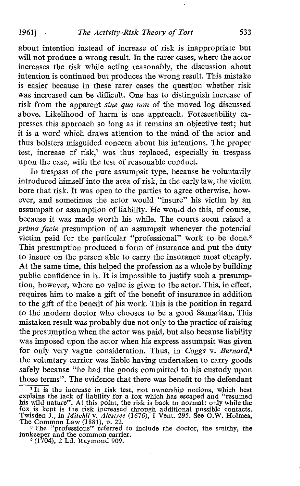about intention instead of increase of risk is inappropriate but will not produce a wrong result. In the rarer cases, where the actor increases the risk while acting reasonably, the discussion about intention is continued but produces the wrong result. This mistake is easier because in these rarer cases the question whether risk was increased can be difficult. One has to distinguish increase of risk from the apparent sine qua non of the moved log discussed above. Likelihood of harm is one approach. Foreseeability expresses this approach so long as it remains an objective test; but it is a word which draws attention to the mind of the actor and thus bolsters misguided concern about his intentions . The proper test, increase of risk,? was thus replaced, especially in trespass upon the case, with the test of reasonable conduct.

In trespass of the pure assumpsit type, because he voluntarily introduced himself into the area of risk, in the early law, the victim bore that risk. It was open to the parties to agree otherwise, however, and sometimes the actor would "insure" his victim by an assumpsit or assumption of liability. He would do this, of course, because it was made worth his while. The courts soon raised a prima facie presumption of an assumpsit whenever the potential victim paid for the particular "professional" work to be done.<sup>8</sup> This presumption produced a form of insurance and put the duty to insure on the person able to carry the insurance most cheaply. At the same time, this helped the profession as a whole by building public confidence in it . It is impossible to justify such a presumption, however, where no value is given to the actor. This, in effect, requires him to make a gift of the benefit of insurance in addition to the gift of the benefit of his work. This is the position in regard to the modern doctor who chooses to be a good Samaritan. This mistaken result was probably due not only to the practice of raising the presumption when the actor was paid, but also because liability was imposed upon the actor when his express assumpsit was given for only very vague consideration. Thus, in Coggs v. Bernard,<sup>9</sup> the voluntary carrier was liable having undertaken to carry goods safely because "he had the goods committed to his custody upon those terms". The evidence that there was benefit to the defendant those terms". The evidence that there was benefit to the defendant

It is the increase in risk test, not ownership notions, which best<br>lains the last of lightlity for a fax which has account and increment explains the lack of hability for a fox which has escaped and "resumed<br>his wild nature". At this point, the risk is back to normal: only while the<br>fox is kept is the risk increased through additional possible contacts.<br>Tw

The Common Law (1881), p. 22.<br>
<sup>8</sup> The "professions" referred to include the doctor, the smithy, the<br>
inclusions and the common innkeeper and the common carrier.<br><sup>9</sup> (1704), 2 Ld. Raymond 909.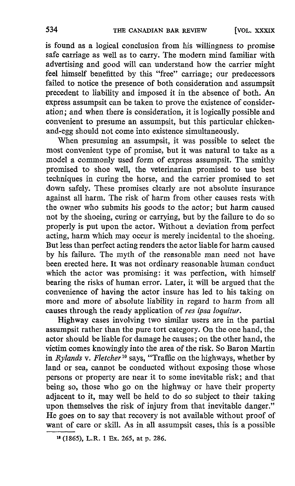is found as a logical conclusion from his willingness to promise safe carriage as well as to carry. The modern mind familiar with advertising and good will can understand how the carrier might feel himself benefitted by this "free" carriage; our predecessors failed to notice the presence of both consideration and assumpsit precedent to liability and imposed it in the absence of both. An express assumpsit can be taken to prove the existence of consideration ; and when there is consideration, it is logically possible and convenient to presume an assumpsit, but this particular chickenand-egg should not come into existence simultaneously.

When presuming an assumpsit, it was possible to select the most convenient type of promise, but it was natural to take as a model a commonly used form of express assumpsit. The smithy promised to shoe well, the veterinarian promised to use best techniques in curing the horse, and the carrier promised to set down safely. These promises clearly are not absolute insurance against all harm. The risk of harm from other causes rests with the owner who submits his goods to the actor; but harm caused not by the shoeing, curing or carrying, but by the failure to do so properly is put upon the actor. Without a deviation from perfect acting, harm which may occur is merely incidental to the shoeing. But less than perfect acting renders the actor liable for harm caused by his failure. The myth of the reasonable man need not have been erected here. It was not ordinary reasonable human conduct which the actor was promising: it was perfection, with himself bearing the risks of human error. Later, it will be argued that the convenience of having the actor insure has led to his taking on more and more of absolute liability in regard to harm from all causes through the ready application of res ipsa loquitur.

Highway cases involving two similar users are in the partial assumpsit rather than the pure tort category. On the one hand, the actor should be liable for damage he causes ; on the other hand, the victim comes knowingly into the area of the risk. So Baron Martin in Rylands v. Fletcher <sup>1</sup>° says, "Traffic on the highways, whether by land or sea, cannot be conducted without exposing those whose persons or property are near it to some inevitable risk ; and that being so, those who go on the highway or have their property adjacent to it, may well be held to do so subject to their taking upon themselves the risk of injury from that inevitable danger." He goes on to say that recovery is not available without proof of want of care or skill. As in all assumpsit cases, this is a possible

<sup>11</sup> (1865), L.R. <sup>1</sup> Ex. 265, at p. 286.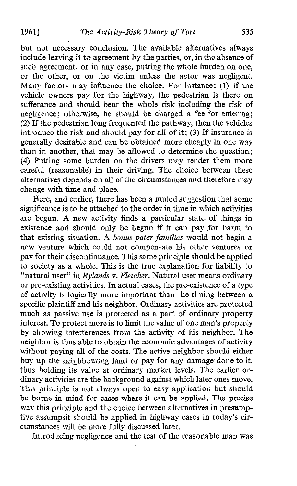but not necessary conclusion. The available alternatives always include leaving it to agreement by the parties, or, in the absence of such agreement, or in any case, putting the whole burden on one, or the other, or on the victim unless the actor was negligent. Many factors may influence the choice . For instance : (1) If the vehicle owners pay for the highway, the pedestrian is there on sufferance and should bear the whole risk including the risk of negligence; otherwise, he should be charged a fee for entering; (2) If the pedestrian long frequented the pathway, then the vehicles introduce the risk and should pay for all of it;  $(3)$  If insurance is generally desirable and can be obtained more cheaply in one way than in another, that may be allowed to determine the question; (4) Putting some burden on the drivers may render them more careful (reasonable) in their driving. The choice between these alternatives depends on all of the circumstances and therefore may change with time and place.

Here, and earlier, there has been a muted suggestion that some significance is to be attached to the order in time in which activities are begun. A new activity finds <sup>a</sup> particular state- of things in existence and should only be begun if it can pay for harm to that existing situation. A bonus pater familias would not begin <sup>a</sup> new venture which could not compensate his other ventures or pay for their discontinuance. This same principle should be applied to society as a whole. This is the true explanation for liability to "natural user" in Rylands v. Fletcher. Natural user means ordinary or pre-existing activities . In actual cases, the pre-existence of a type of activity is logically more important than the timing between a specific plaintiff and his neighbor. Ordinary activities are protected much as passive use is protected as a part of ordinary property interest. To protect more is to limit the value of one man's property by allowing interferences from the activity of his neighbor. The neighbor is thus able to obtain the economic advantages of activity without paying all of the costs. The active neighbor should either buy up the neighbouring land or pay for any damage done to it, thus holding its value at ordinary market levels . The earlier ordinary activities are the background against which later ones move. This principle is not always open to easy application but should be borne in mind for cases where it can be applied. The precise way this principle and the choice between alternatives in presumptive assumpsit should be applied in highway cases in today's circumstances will be more fully discussed later.

Introducing negligence and the test of the reasonable man was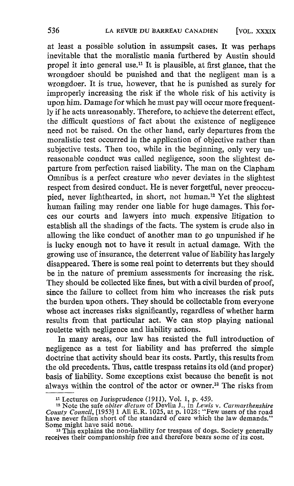at least a possible solution in assumpsit cases. It was perhaps inevitable that the moralistic mania furthered by Austin should propel it into general use.<sup>11</sup> It is plausible, at first glance, that the wrongdoer should be punished and that the negligent man is a wrongdoer. It is true, however, that he is punished as surely for improperly increasing the risk if the whole risk of his activity is upon him. Damage for which he must pay will occur more frequently if he acts unreasonably. Therefore, to achieve the deterrent effect, the difficult questions of fact about the existence of negligence need not be raised. On the other hand, early departures from the moralistic test occurred in the application of objective rather than subjective tests. Then too, while in the beginning, only very unreasonable conduct was called negligence, soon the slightest departure from perfection raised liability. The man on the Clapham Omnibus is a perfect creature who never deviates in the slightest respect from desired conduct. He is never forgetful, never preoccupied, never lighthearted, in short, not human.<sup>12</sup> Yet the slightest human failing may render one liable for huge damages. This forces our courts and lawyers into much. expensive litigation to establish all the shadings of the facts. The system is crude also in allowing the like conduct of another man to go unpunished if he is lucky enough not to have it result in actual damage. With the growing use of insurance, the deterrent value of liability has largely disappeared. There is some real point to deterrents but they should be in the nature of premium assessments for increasing the risk. They should be collected like fines, but with a civil burden of proof, since the failure to collect from him who increases the risk puts the burden upon others. They should be collectable from everyone whose act increases risks significantly, regardless of whether harm results from that particular act. We can stop playing national roulette with negligence and liability actions.

In many areas, our law has resisted the full introduction of negligence as a test for liability and has preferred the simple doctrine that activity should bear its costs. Partly, this results from the old precedents. Thus, cattle trespass retains its old (and proper) basis of liability. Some exceptions exist because the benefit is not always within the control of the actor or owner.<sup>13</sup> The risks from

<sup>11</sup> Lectures on Jurisprudence (1911), Vol. 1, p. 459.

<sup>&</sup>lt;sup>12</sup> Note the safe *obiter dictum* of Devlin J., in Lewis v. Carmarthenshire County Council,  $[1953]$  1 All E.R. 1025, at p. 1025: "Few users of the road have never fallen short of the standard of care which the law deman Some might have said none.

<sup>&</sup>lt;sup>13</sup> This explains the non-liability for trespass of dogs. Society generally receives their companionship free and therefore bears some of its cost.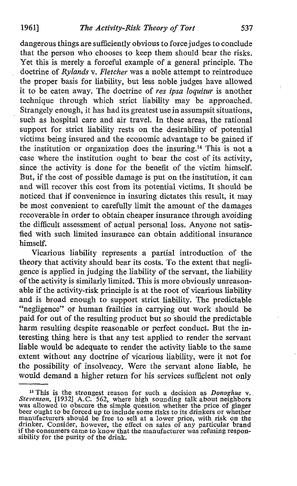dangerous things are sufficiently obvious to force judges to conclude that the person who chooses to keep them should bear the risks. Yet this is merely a forceful example of a general principle. The doctrine of Rylands v. Fletcher was a noble attempt to reintroduce the proper basis for liability, but less noble judges have allowed it to be eaten away. The doctrine of res ipsa loquitur is another technique through which strict liability may be approached. Strangely enough, it has had its greatest use in assumpsit situations. such as hospital care and air travel. In these areas, the rational support for strict liability rests on the desirability of potential victims being insured and the economic advantage to be gained if the institution or organization does the insuring.<sup>14</sup> This is not a case where the institution ought to bear the cost of its activity, since the activity is done for the benefit of the victim himself. But, if the cost of possible damage is put on the institution, it can and will recover this cost from its potential victims. It should be noticed that if convenience in insuring dictates this result, it may be most convenient to carefully limit the amount of the damages recoverable in order to obtain cheaper insurance through avoiding the difficult assessment of actual personal loss. Anyone not satisfied with such limited insurance can obtain additional insurance himself.

Vicarious liability represents a partial introduction of the theory that activity should bear its costs. To the extent that negligence is applied in judging the liability of the servant, the liability of the activity is similarly limited. This is more obviously unreasonable if the activity-risk principle is at the root of vicarious liability and is broad enough to support strict liability. The predictable "negligence" or human frailties in carrying out work should be paid for out of the resulting product but so should the predictable harm resulting despite reasonable or perfect conduct. But the interesting thing here is that any test applied to render the servant liable would be adequate to render the activity liable to the same extent without any doctrine of vicarious liability, were it not for the possibility of insolvency. Were the servant alone liable, he would demand a higher return for his services sufficient not only

<sup>&</sup>lt;sup>14</sup> This is the strongest reason for such a decision as *Donoghue* v.<br>*Stevenson*, [1932] A.C. 562, where high sounding talk about neighbors<br>was allowed to obscure the simple question whether the price of ginger<br>beer oug manufacturers should be free to sell at a lower price, with risk on the drinker. Consider, however, the effect on sales of any particular brand is the effect on sales of any particular brand if the consumers came to know that the manufacturer was refusing responsibility for the purity of the drink.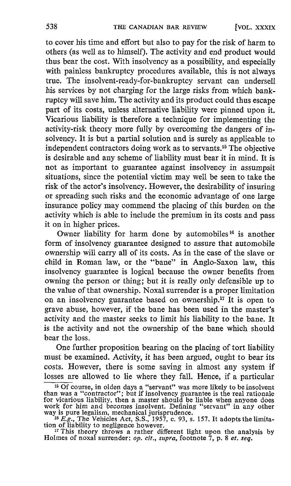to cover his time and effort but also to pay for the risk of harm to others (as well as to himself). The activity and end product would thus bear the cost. With insolvency as a possibility, and especially with painless bankruptcy procedures available, this is not always true. The insolvent-ready-for-bankruptcy servant can undersell his services by not charging for the large risks from which bankruptcy will save him. The activity and its product could thus escape part of its costs, unless alternative liability were pinned upon it. Vicarious liability is therefore a technique for implementing the activity-risk theory more fully by overcoming the dangers of insolvency. It is but a partial solution and is surely as applicable to independent contractors doing work as to servants." The objective is desirable and any scheme of liability must bear it in mind. It is not as important to guarantee against insolvency in assumpsit situations, since the potential victim may well be seen to take the risk of the actor's insolvency. However, the desirability of insuring or spreading such risks and the economic advantage of one large insurance policy may commend the placing of this burden on the activity which is able to include the premium in its costs and pass it on in higher prices .

Owner liability for harm done by automobiles<sup>16</sup> is another form of insolvency guarantee designed to assure that automobile ownership will carry all of its costs. As in the case of the slave or child in Roman law, or the "bane" in Anglo-Saxon law, this insolvency guarantee is logical because the owner benefits from owning the person or thing; but it is really only defensible up to the value of that ownership. Noxal surrender is a proper limitation on an insolvency guarantee based on ownership." It is open to grave abuse, however, if the bane has been used in the master's activity and the master seeks to limit his liability to the bane. It is the activity and not the ownership of the bane which should bear the loss.

One further proposition bearing on the placing of tort liability must be examined. Activity, it has been argued, ought to bear its costs. However, there is some saving in almost any system if losses are allowed to lie where they fall. Hence, if a particular

<sup>&</sup>lt;sup>15</sup> Of course, in olden days a "servant" was more likely to be insolvent than was a "contractor"; but if insolvency guarantee is the real rationale for vicarious liability, then a master should be liable when anyone does

way is pure legalism, mechanical jurisprudence.<br>
<sup>16</sup> E.g., The Vehicles Act, S.S., 1957, c. 93, s. 157. It adopts the limitation of liability to negligence however.<br>
<sup>17</sup> This theory throws a rather different light upon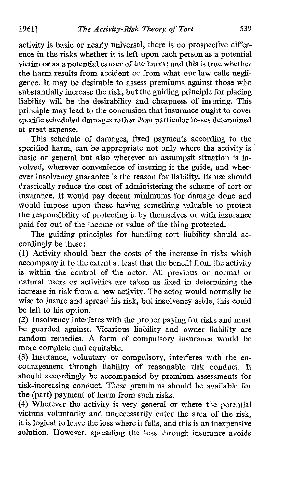activity is basic or nearly universal, there is no prospective difference in the risks whether it is left upon each person as a potential victim or as a potential causer of the harm; and this is true whether the harm results from accident or from what our law calls negligence. It may be desirable to assess premiums against those who substantially increase the risk, but the guiding principle for placing liability will be the desirability and cheapness of insuring. This principle maylead to the conclusion that insurance ought to cover specific scheduled damages rather than particular losses determined at great expense.

This schedule of damages, fixed payments according to the specified harm, can be appropriate not only where the activity is basic or general but also wherever an assumpsit situation is in volved, wherever convenience of insuring is the guide, and wherever insolvency guarantee is the reason for liability. Its use should drastically reduce the cost of administering the scheme of tort or insurance. It would pay decent minimums for damage done and would impose upon those having something valuable- to protect the responsibility of protecting it by themselves or with insurance paid for out of the income or value of the thing protected.

The guiding principles for handling tort liability should accordingly be these :

(1) Activity should bear the costs of the increase in risks which accompany it to the extent at least that the benefit from the activity is within the control of the actor. All previous or normal or natural users or activities are taken as fixed in determining the increase in risk from a new activity. The actor would normally be wise to insure and spread his risk, but insolvency aside, this could be left to his option.

(2) Insolvency interferes with the proper paying for risks and must be guarded against. Vicarious liability and owner liability are random remedies. A form of compulsory insurance would be more complete and equitable.

(3) Insurance, voluntary or compulsory, interferes with the encouragement through liability of reasonable risk conduct. It should accordingly be accompanied by premium assessments for risk-increasing conduct. These premiums should be available for the (part) payment of harm from such risks.

(4) Wherever the activity is very general or where the potential victims voluntarily and unnecessarily enter the area of the risk, it is logical to leave the loss where it falls, and this is an inexpensive solution. However, spreading the loss through insurance avoids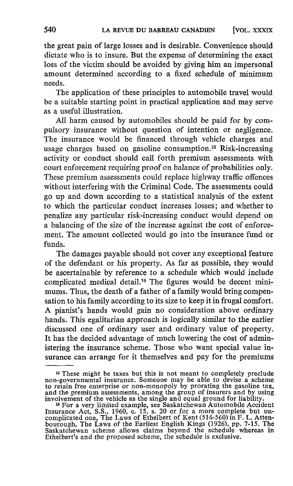the great pain of large losses and is desirable. Convenience should dictate who is to insure. But the expense of determining the exact loss of the victim should be avoided by giving him an impersonal amount determined according to <sup>a</sup> fixed schedule of minimum needs.

The application of these principles to automobile travel would be a suitable starting point in practical application and may serve as a useful illustration.

All harm caused by automobiles should be paid for by compulsory insurance without question of intention or negligence. The insurance would be financed through vehicle charges and usage charges based on gasoline consumption.<sup>18</sup> Risk-increasing activity or conduct should call forth premium assessments with court enforcement requiring proof on balance of probabilities only. These premium assessments could replace highway traffic offences without interfering with the Criminal Code. The assessments could go up and down according to a statistical analysis of the extent to which the particular conduct increases losses ; and whether to penalize any particular risk-increasing conduct would depend on a balancing of the size of the increase against the cost of enforcement. The amount collected would go into the insurance fund or funds.

The damages payable should not cover any exceptional feature of the defendant or his property. As far as possible, they would be ascertainable by reference to a schedule which would include complicated medical detail.<sup>19</sup> The figures would be decent minimums. Thus, the death of a father of a family would bring compensation to his family according to its size to keep it in frugal comfort. A pianist's hands would gain no consideration above ordinary hands. This egalitarian approach is logically similar to the earlier discussed one of ordinary user and ordinary value of property. It has the decided advantage of much lowering the cost of administering the insurance scheme. Those who want special value insurance can arrange for it themselves and pay for the premiums

<sup>&</sup>lt;sup>18</sup> These might be taxes but this is not meant to completely preclude<br>non-governmental insurance. Someone may be able to devise a scheme<br>to retain free enterprise or non-monopoly by prorating the gasoline tax,<br>and the pre

<sup>&</sup>lt;sup>19</sup> For a very limited example, see Saskatchewan Automobile Accident<br>Insurance Act, S.S., 1960, c. 15, s. 20 or for a more complete but uncomplicated one, The Laws of Ethelbert of Kent (516-560) in F. L. Attenbourough, The Laws of the Earliest English Kings (1926), pp. 7-15. The Saskatchewan scheme allows claims beyond the schedule whereas in Ethelbert's and the proposed scheme, the schedule is exclusive .